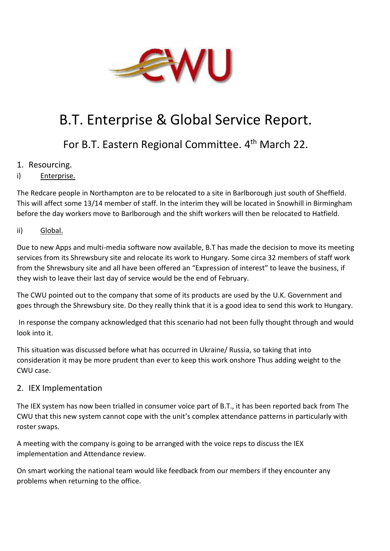

# B.T. Enterprise & Global Service Report.

# For B.T. Eastern Regional Committee. 4<sup>th</sup> March 22.

- 1. Resourcing.
- i) Enterprise.

The Redcare people in Northampton are to be relocated to a site in Barlborough just south of Sheffield. This will affect some 13/14 member of staff. In the interim they will be located in Snowhill in Birmingham before the day workers move to Barlborough and the shift workers will then be relocated to Hatfield.

# ii) Global.

Due to new Apps and multi-media software now available, B.T has made the decision to move its meeting services from its Shrewsbury site and relocate its work to Hungary. Some circa 32 members of staff work from the Shrewsbury site and all have been offered an "Expression of interest" to leave the business, if they wish to leave their last day of service would be the end of February.

The CWU pointed out to the company that some of its products are used by the U.K. Government and goes through the Shrewsbury site. Do they really think that it is a good idea to send this work to Hungary.

In response the company acknowledged that this scenario had not been fully thought through and would look into it.

This situation was discussed before what has occurred in Ukraine/ Russia, so taking that into consideration it may be more prudent than ever to keep this work onshore Thus adding weight to the CWU case.

# 2. IEX Implementation

The IEX system has now been trialled in consumer voice part of B.T., it has been reported back from The CWU that this new system cannot cope with the unit's complex attendance patterns in particularly with roster swaps.

A meeting with the company is going to be arranged with the voice reps to discuss the IEX implementation and Attendance review.

On smart working the national team would like feedback from our members if they encounter any problems when returning to the office.